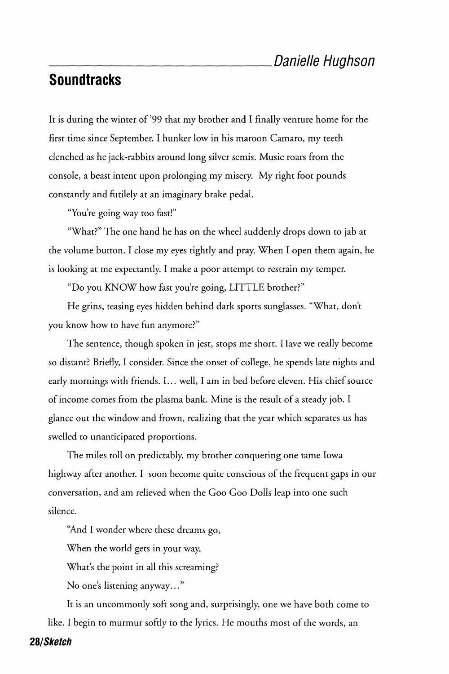## **Soundtracks**

It is during the winter of '99 that my brother and I finally venture home for the first time since September. I hunker low in his maroon Camaro, my teeth clenched as he jack-rabbits around long silver semis. Music roars from the console, a beast intent upon prolonging my misery. My right foot pounds constantly and futilely at an imaginary brake pedal.

"You're going way too fast!"

"What?" The one hand he has on the wheel suddenly drops down to jab at the volume button. I close my eyes tightly and pray. When I open them again, he is looking at me expectantly. I make a poor attempt to restrain my temper.

"Do you KNOW how fast you're going, LITTLE brother?"

He grins, teasing eyes hidden behind dark sports sunglasses. "What, don't you know how to have fun anymore?"

The sentence, though spoken in jest, stops me short. Have we really become so distant? Briefly, I consider. Since the onset of college, he spends late nights and early mornings with friends. I... well, I am in bed before eleven. His chief source of income comes from the plasma bank. Mine is the result of a steady job. I glance out the window and frown, realizing that the year which separates us has swelled to unanticipated proportions.

The miles roll on predictably, my brother conquering one tame Iowa highway after another. I soon become quite conscious of the frequent gaps in our conversation, and am relieved when the Goo Goo Dolls leap into one such silence.

"And I wonder where these dreams go,

When the world gets in your way.

What's the point in all this screaming?

No one's listening anyway..."

It is an uncommonly soft song and, surprisingly, one we have both come to like. I begin to murmur softly to the lyrics. He mouths most of the words, an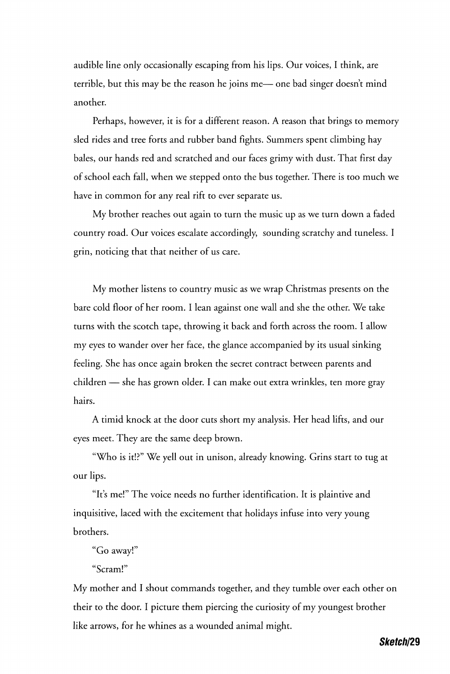audible line only occasionally escaping from his lips. Our voices, I think, are terrible, but this may be the reason he joins me— one bad singer doesn't mind another.

Perhaps, however, it is for a different reason. A reason that brings to memory sled rides and tree forts and rubber band fights. Summers spent climbing hay bales, our hands red and scratched and our faces grimy with dust. That first day of school each fall, when we stepped onto the bus together. There is too much we have in common for any real rift to ever separate us.

My brother reaches out again to turn the music up as we turn down a faded country road. Our voices escalate accordingly, sounding scratchy and tuneless. I grin, noticing that that neither of us care.

My mother listens to country music as we wrap Christmas presents on the bare cold floor of her room. I lean against one wall and she the other. We take turns with the scotch tape, throwing it back and forth across the room. I allow my eyes to wander over her face, the glance accompanied by its usual sinking feeling. She has once again broken the secret contract between parents and children — she has grown older. I can make out extra wrinkles, ten more gray hairs.

A timid knock at the door cuts short my analysis. Her head lifts, and our eyes meet. They are the same deep brown.

"Who is it!?" We yell out in unison, already knowing. Grins start to tug at our lips.

"It's me!" The voice needs no further identification. It is plaintive and inquisitive, laced with the excitement that holidays infuse into very young brothers.

"Go away!"

"Scram!"

My mother and I shout commands together, and they tumble over each other on their to the door. I picture them piercing the curiosity of my youngest brother like arrows, for he whines as a wounded animal might.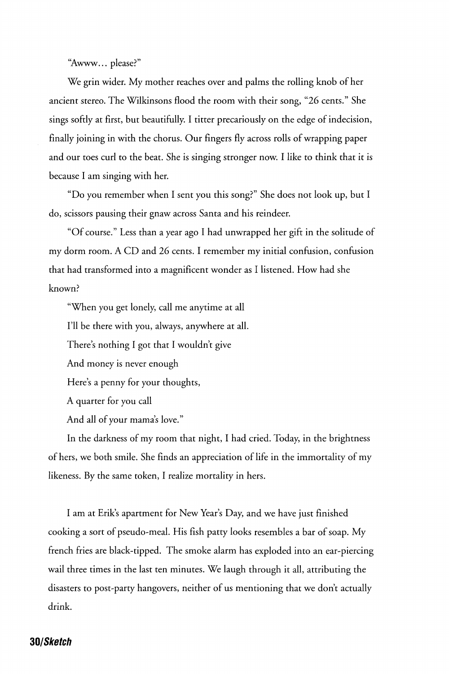"Awww... please?"

We grin wider. My mother reaches over and palms the rolling knob of her ancient stereo. The Wilkinsons flood the room with their song, "26 cents." She sings softly at first, but beautifully. I titter precariously on the edge of indecision, finally joining in with the chorus. Our fingers fly across rolls of wrapping paper and our toes curl to the beat. She is singing stronger now. I like to think that it is because I am singing with her.

"Do you remember when I sent you this song?" She does not look up, but I do, scissors pausing their gnaw across Santa and his reindeer.

"Of course." Less than a year ago I had unwrapped her gift in the solitude of my dorm room. A CD and 26 cents. I remember my initial confusion, confusion that had transformed into a magnificent wonder as I listened. How had she known?

"When you get lonely, call me anytime at all

I'll be there with you, always, anywhere at all.

There's nothing I got that I wouldn't give

And money is never enough

Here's a penny for your thoughts,

A quarter for you call

And all of your mama's love."

In the darkness of my room that night, I had cried. Today, in the brightness of hers, we both smile. She finds an appreciation of life in the immortality of my likeness. By the same token, I realize mortality in hers.

I am at Erik's apartment for New Year's Day, and we have just finished cooking a sort of pseudo-meal. His fish patty looks resembles a bar of soap. My french fries are black-tipped. The smoke alarm has exploded into an ear-piercing wail three times in the last ten minutes. We laugh through it all, attributing the disasters to post-party hangovers, neither of us mentioning that we don't actually drink.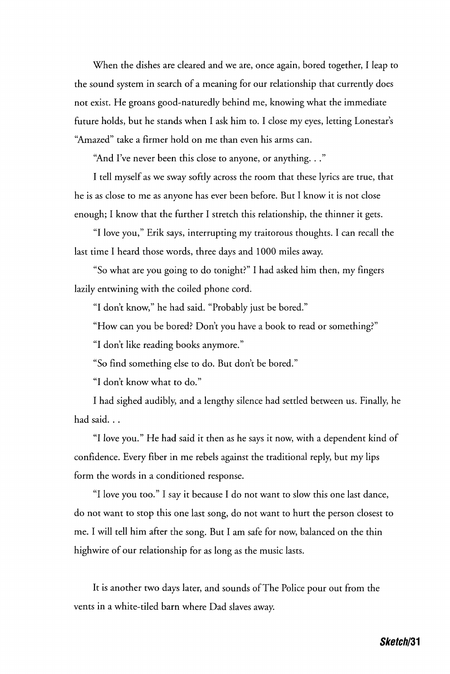When the dishes are cleared and we are, once again, bored together, I leap to the sound system in search of a meaning for our relationship that currently does not exist. He groans good-naturedly behind me, knowing what the immediate future holds, but he stands when I ask him to. I close my eyes, letting Lonestar's "Amazed" take a firmer hold on me than even his arms can.

"And I've never been this close to anyone, or anything. . ."

I tell myself as we sway softly across the room that these lyrics are true, that he is as close to me as anyone has ever been before. But I know it is not close enough; I know that the further I stretch this relationship, the thinner it gets.

"I love you," Erik says, interrupting my traitorous thoughts. I can recall the last time I heard those words, three days and 1000 miles away.

"So what are you going to do tonight?" I had asked him then, my fingers lazily entwining with the coiled phone cord.

"I don't know," he had said. "Probably just be bored."

"How can you be bored? Don't you have a book to read or something?"

"I don't like reading books anymore."

"So find something else to do. But don't be bored."

"I don't know what to do."

I had sighed audibly, and a lengthy silence had settled between us. Finally, he had said. . .

"I love you." He had said it then as he says it now, with a dependent kind of confidence. Every fiber in me rebels against the traditional reply, but my lips form the words in a conditioned response.

"I love you too." I say it because I do not want to slow this one last dance, do not want to stop this one last song, do not want to hurt the person closest to me. I will tell him after the song. But I am safe for now, balanced on the thin highwire of our relationship for as long as the music lasts.

It is another two days later, and sounds of The Police pour out from the vents in a white-tiled barn where Dad slaves away.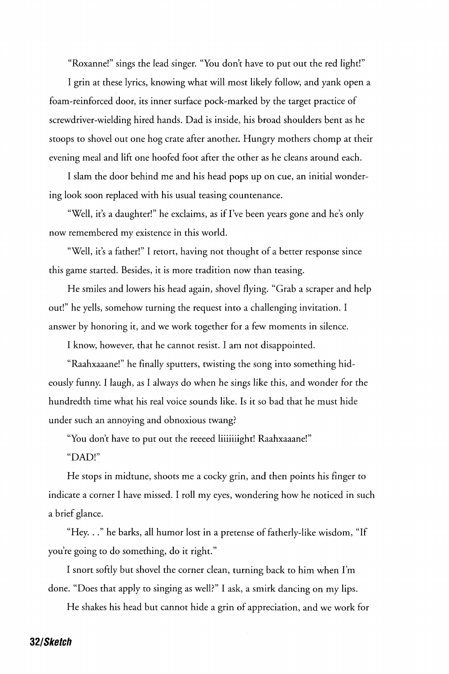"Roxanne!" sings the lead singer. "You don't have to put out the red light!"

I grin at these lyrics, knowing what will most likely follow, and yank open a foam-reinforced door, its inner surface pock-marked by the target practice of screwdriver-wielding hired hands. Dad is inside, his broad shoulders bent as he stoops to shovel out one hog crate after another. Hungry mothers chomp at their evening meal and lift one hoofed foot after the other as he cleans around each.

I slam the door behind me and his head pops up on cue, an initial wondering look soon replaced with his usual teasing countenance.

"Well, it's a daughter!" he exclaims, as if I've been years gone and he's only now remembered my existence in this world.

"Well, it's a father!" I retort, having not thought of a better response since this game started. Besides, it is more tradition now than teasing.

He smiles and lowers his head again, shovel flying. "Grab a scraper and help out!" he yells, somehow turning the request into a challenging invitation. I answer by honoring it, and we work together for a few moments in silence.

I know, however, that he cannot resist. I am not disappointed.

"Raahxaaane!" he finally sputters, twisting the song into something hideously funny. I laugh, as I always do when he sings like this, and wonder for the hundredth time what his real voice sounds like. Is it so bad that he must hide under such an annoying and obnoxious twang?

"You don't have to put out the reeeed liiiiiiight! Raahxaaane!"

"DAD!"

He stops in midtune, shoots me a cocky grin, and then points his finger to indicate a corner I have missed. I roll my eyes, wondering how he noticed in such a brief glance.

"Hey. . ." he barks, all humor lost in a pretense of fatherly-like wisdom, "If you're going to do something, do it right."

I snort softly but shovel the corner clean, turning back to him when I'm done. "Does that apply to singing as well?" I ask, a smirk dancing on my lips.

He shakes his head but cannot hide a grin of appreciation, and we work for